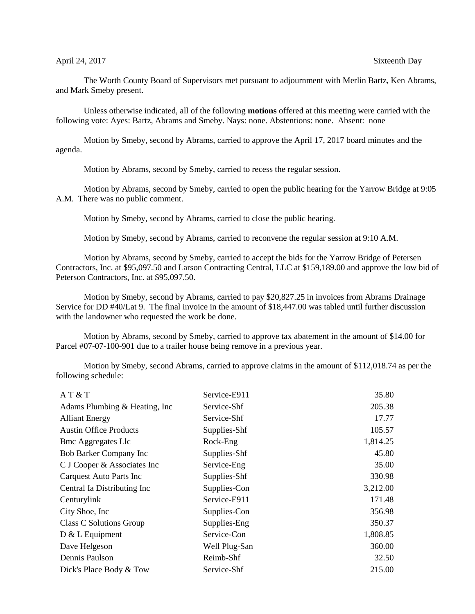The Worth County Board of Supervisors met pursuant to adjournment with Merlin Bartz, Ken Abrams, and Mark Smeby present.

Unless otherwise indicated, all of the following **motions** offered at this meeting were carried with the following vote: Ayes: Bartz, Abrams and Smeby. Nays: none. Abstentions: none. Absent: none

Motion by Smeby, second by Abrams, carried to approve the April 17, 2017 board minutes and the agenda.

Motion by Abrams, second by Smeby, carried to recess the regular session.

Motion by Abrams, second by Smeby, carried to open the public hearing for the Yarrow Bridge at 9:05 A.M. There was no public comment.

Motion by Smeby, second by Abrams, carried to close the public hearing.

Motion by Smeby, second by Abrams, carried to reconvene the regular session at 9:10 A.M.

Motion by Abrams, second by Smeby, carried to accept the bids for the Yarrow Bridge of Petersen Contractors, Inc. at \$95,097.50 and Larson Contracting Central, LLC at \$159,189.00 and approve the low bid of Peterson Contractors, Inc. at \$95,097.50.

Motion by Smeby, second by Abrams, carried to pay \$20,827.25 in invoices from Abrams Drainage Service for DD #40/Lat 9. The final invoice in the amount of \$18,447.00 was tabled until further discussion with the landowner who requested the work be done.

Motion by Abrams, second by Smeby, carried to approve tax abatement in the amount of \$14.00 for Parcel #07-07-100-901 due to a trailer house being remove in a previous year.

Motion by Smeby, second Abrams, carried to approve claims in the amount of \$112,018.74 as per the following schedule:

| AT & T                          | Service-E911  | 35.80    |
|---------------------------------|---------------|----------|
| Adams Plumbing & Heating, Inc.  | Service-Shf   | 205.38   |
| <b>Alliant Energy</b>           | Service-Shf   | 17.77    |
| <b>Austin Office Products</b>   | Supplies-Shf  | 105.57   |
| <b>Bmc Aggregates Llc</b>       | Rock-Eng      | 1,814.25 |
| Bob Barker Company Inc          | Supplies-Shf  | 45.80    |
| C J Cooper & Associates Inc     | Service-Eng   | 35.00    |
| <b>Carquest Auto Parts Inc.</b> | Supplies-Shf  | 330.98   |
| Central Ia Distributing Inc     | Supplies-Con  | 3,212.00 |
| Centurylink                     | Service-E911  | 171.48   |
| City Shoe, Inc.                 | Supplies-Con  | 356.98   |
| Class C Solutions Group         | Supplies-Eng  | 350.37   |
| D & L Equipment                 | Service-Con   | 1,808.85 |
| Dave Helgeson                   | Well Plug-San | 360.00   |
| Dennis Paulson                  | Reimb-Shf     | 32.50    |
| Dick's Place Body & Tow         | Service-Shf   | 215.00   |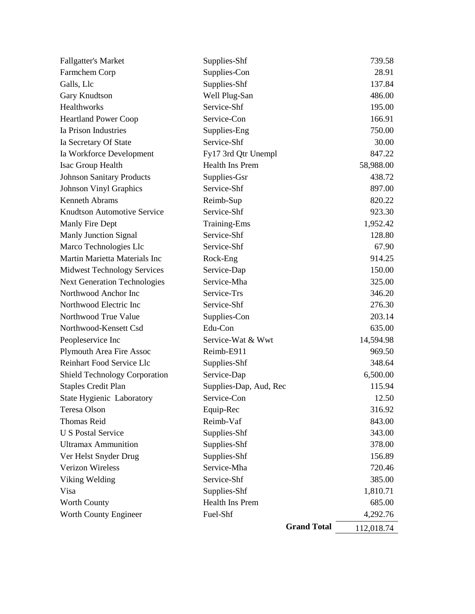| Fallgatter's Market                  | Supplies-Shf           | 739.58     |
|--------------------------------------|------------------------|------------|
| Farmchem Corp                        | Supplies-Con           | 28.91      |
| Galls, Llc                           | Supplies-Shf           | 137.84     |
| Gary Knudtson                        | Well Plug-San          | 486.00     |
| Healthworks                          | Service-Shf            | 195.00     |
| <b>Heartland Power Coop</b>          | Service-Con            | 166.91     |
| Ia Prison Industries                 | Supplies-Eng           | 750.00     |
| Ia Secretary Of State                | Service-Shf            | 30.00      |
| Ia Workforce Development             | Fy17 3rd Qtr Unempl    | 847.22     |
| Isac Group Health                    | Health Ins Prem        | 58,988.00  |
| <b>Johnson Sanitary Products</b>     | Supplies-Gsr           | 438.72     |
| <b>Johnson Vinyl Graphics</b>        | Service-Shf            | 897.00     |
| <b>Kenneth Abrams</b>                | Reimb-Sup              | 820.22     |
| <b>Knudtson Automotive Service</b>   | Service-Shf            | 923.30     |
| Manly Fire Dept                      | Training-Ems           | 1,952.42   |
| <b>Manly Junction Signal</b>         | Service-Shf            | 128.80     |
| Marco Technologies Llc               | Service-Shf            | 67.90      |
| Martin Marietta Materials Inc        | Rock-Eng               | 914.25     |
| <b>Midwest Technology Services</b>   | Service-Dap            | 150.00     |
| <b>Next Generation Technologies</b>  | Service-Mha            | 325.00     |
| Northwood Anchor Inc                 | Service-Trs            | 346.20     |
| Northwood Electric Inc               | Service-Shf            | 276.30     |
| Northwood True Value                 | Supplies-Con           | 203.14     |
| Northwood-Kensett Csd                | Edu-Con                | 635.00     |
| Peopleservice Inc                    | Service-Wat & Wwt      | 14,594.98  |
| <b>Plymouth Area Fire Assoc</b>      | Reimb-E911             | 969.50     |
| Reinhart Food Service Llc            | Supplies-Shf           | 348.64     |
| <b>Shield Technology Corporation</b> | Service-Dap            | 6,500.00   |
| <b>Staples Credit Plan</b>           | Supplies-Dap, Aud, Rec | 115.94     |
| <b>State Hygienic Laboratory</b>     | Service-Con            | 12.50      |
| Teresa Olson                         | Equip-Rec              | 316.92     |
| <b>Thomas Reid</b>                   | Reimb-Vaf              | 843.00     |
| <b>U S Postal Service</b>            | Supplies-Shf           | 343.00     |
| <b>Ultramax Ammunition</b>           | Supplies-Shf           | 378.00     |
| Ver Helst Snyder Drug                | Supplies-Shf           | 156.89     |
| <b>Verizon Wireless</b>              | Service-Mha            | 720.46     |
| Viking Welding                       | Service-Shf            | 385.00     |
| Visa                                 | Supplies-Shf           | 1,810.71   |
| <b>Worth County</b>                  | Health Ins Prem        | 685.00     |
| Worth County Engineer                | Fuel-Shf               | 4,292.76   |
|                                      | <b>Grand Total</b>     | 112,018.74 |